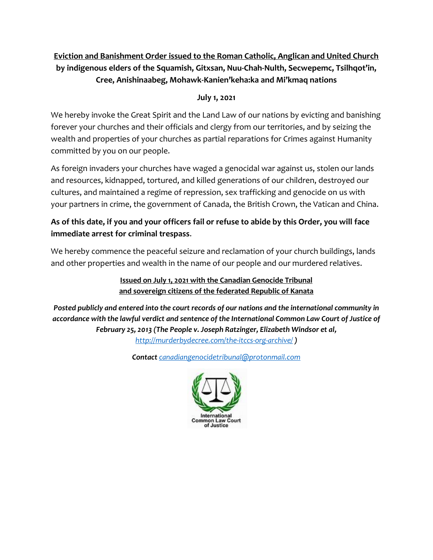### **Eviction and Banishment Order issued to the Roman Catholic, Anglican and United Church by indigenous elders of the Squamish, Gitxsan, Nuu-Chah-Nulth, Secwepemc, Tsilhqot'in, Cree, Anishinaabeg, Mohawk-Kanien'keha:ka and Mi'kmaq nations**

#### **July 1, 2021**

We hereby invoke the Great Spirit and the Land Law of our nations by evicting and banishing forever your churches and their officials and clergy from our territories, and by seizing the wealth and properties of your churches as partial reparations for Crimes against Humanity committed by you on our people.

As foreign invaders your churches have waged a genocidal war against us, stolen our lands and resources, kidnapped, tortured, and killed generations of our children, destroyed our cultures, and maintained a regime of repression, sex trafficking and genocide on us with your partners in crime, the government of Canada, the British Crown, the Vatican and China.

### **As of this date, if you and your officers fail or refuse to abide by this Order, you will face immediate arrest for criminal trespass**.

We hereby commence the peaceful seizure and reclamation of your church buildings, lands and other properties and wealth in the name of our people and our murdered relatives.

> **Issued on July 1, 2021 with the Canadian Genocide Tribunal and sovereign citizens of the federated Republic of Kanata**

*Posted publicly and entered into the court records of our nations and the international community in accordance with the lawful verdict and sentence of the International Common Law Court of Justice of February 25, 2013 (The People v. Joseph Ratzinger, Elizabeth Windsor et al, <http://murderbydecree.com/the-itccs-org-archive/> )*

*Contact [canadiangenocidetribunal@protonmail.com](mailto:canadiangenocidetribunal@protonmail.com)*